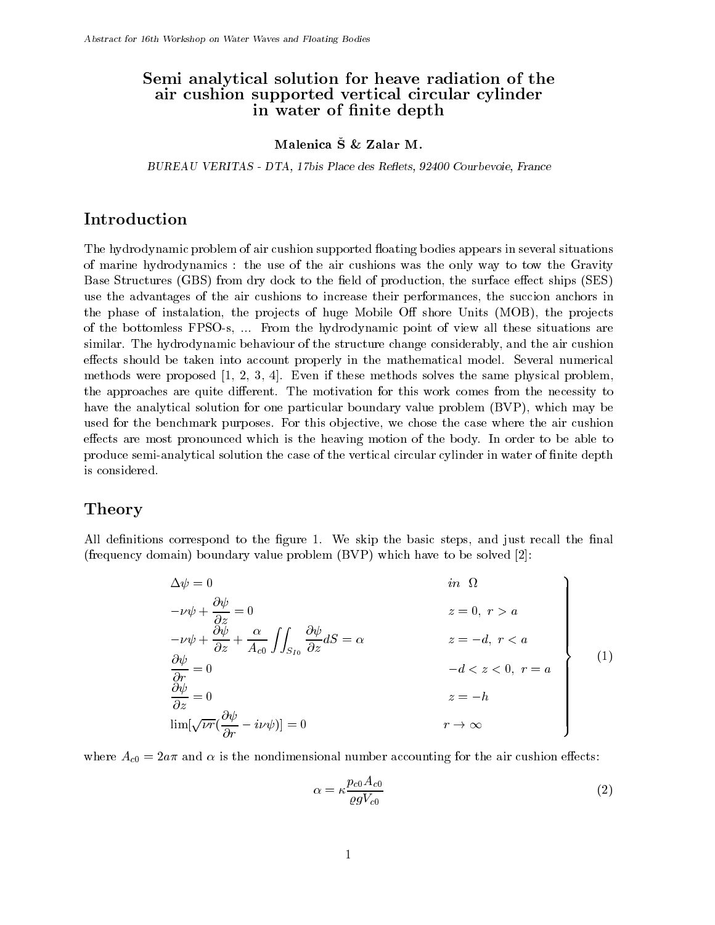## Semi analytical solution for heave radiation of the air cushion supported vertical circular cylinder in water of finite depth

### Malenica S & Zalar M.

BUREAU VERITAS - DTA, 17bis Place des Reflets, 92400 Courbevoie, France

# Introduction

The hydrodynamic problem of air cushion supported floating bodies appears in several situations of marine hydrodynamics : the use of the air cushions was the only way to tow the Gravity Base Structures (GBS) from dry dock to the field of production, the surface effect ships (SES) use the advantages of the air cushions to increase their performances, the succion anchors in the phase of instalation, the projects of huge Mobile Off shore Units (MOB), the projects of the bottomless FPSO-s, ... From the hydrodynamic point of view all these situations are similar. The hydrodynamic behaviour of the structure change considerably, and the air cushion effects should be taken into account properly in the mathematical model. Several numerical methods were proposed [1, 2, 3, 4]. Even if these methods solves the same physical problem, the approaches are quite different. The motivation for this work comes from the necessity to have the analytical solution for one particular boundary value problem (BVP), which may be used for the benchmark purposes. For this objective, we chose the case where the air cushion effects are most pronounced which is the heaving motion of the body. In order to be able to produce semi-analytical solution the case of the vertical circular cylinder in water of finite depth is considered.

## Theory

All definitions correspond to the figure 1. We skip the basic steps, and just recall the final (frequency domain) boundary value problem (BVP) which have to be solved [2]:

$$
\Delta \psi = 0 \qquad in \ \Omega
$$
  
\n
$$
-\nu \psi + \frac{\partial \psi}{\partial z} = 0 \qquad z = 0, r > a
$$
  
\n
$$
-\nu \psi + \frac{\partial \psi}{\partial z} + \frac{\alpha}{A_{c0}} \int \int_{S_{I0}} \frac{\partial \psi}{\partial z} dS = \alpha \qquad z = -d, r < a
$$
  
\n
$$
\frac{\partial \psi}{\partial r} = 0 \qquad -d < z < 0, r = a
$$
  
\n
$$
\frac{\partial \psi}{\partial z} = 0 \qquad z = -h
$$
  
\n
$$
\lim[\sqrt{\nu r}(\frac{\partial \psi}{\partial r} - i\nu \psi)] = 0 \qquad r \to \infty
$$
  
\n(1)

where  $A_{c0} = 2a\pi$  and  $\alpha$  is the nondimensional number accounting for the air cushion effects:

$$
\alpha = \kappa \frac{p_{c0} A_{c0}}{\varrho g V_{c0}} \tag{2}
$$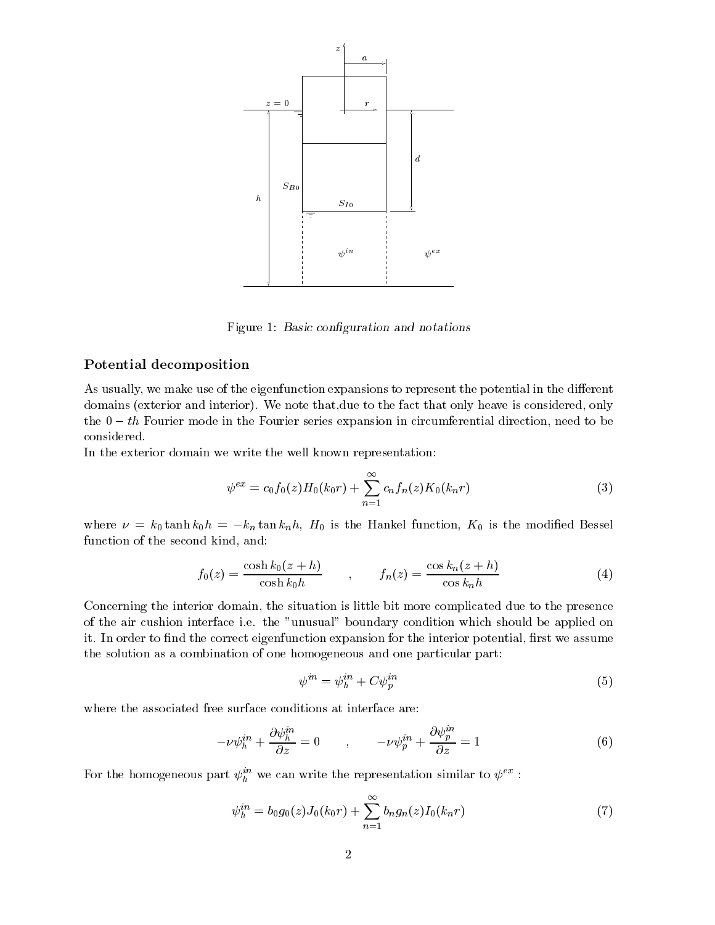

Figure 1: Basic configuration and notations

#### Potential decomposition

As usually, we make use of the eigenfunction expansions to represent the potential in the different domains (exterior and interior). We note that,due to the fact that only heave is considered, only the  $0 - th$  Fourier mode in the Fourier series expansion in circumferential direction, need to be considered.

In the exterior domain we write the well known representation:

$$
\psi^{ex} = c_0 f_0(z) H_0(k_0 r) + \sum_{n=1}^{\infty} c_n f_n(z) K_0(k_n r)
$$
\n(3)

where  $\nu = k_0 \tanh k_0 h = -k_n \tan k_n h$ ,  $H_0$  is the Hankel function,  $K_0$  is the modified Bessel function of the second kind, and:

$$
f_0(z) = \frac{\cosh k_0(z+h)}{\cosh k_0 h} \qquad , \qquad f_n(z) = \frac{\cos k_n(z+h)}{\cos k_n h} \tag{4}
$$

Concerning the interior domain, the situation is little bit more complicated due to the presence of the air cushion interface i.e. the "unusual" boundary condition which should be applied on it. In order to find the correct eigenfunction expansion for the interior potential, first we assume the solution as a combination of one homogeneous and one particular part:

$$
\psi^{in} = \psi_h^{in} + C\psi_p^{in} \tag{5}
$$

where the associated free surface conditions at interface are:

$$
-\nu\psi_h^{in} + \frac{\partial\psi_h^{in}}{\partial z} = 0 \qquad , \qquad -\nu\psi_p^{in} + \frac{\partial\psi_p^{in}}{\partial z} = 1 \tag{6}
$$

For the homogeneous part  $\psi_h^{\dots}$  we can write the representation similar to  $\psi^{\dots}$  :

$$
\psi_h^{in} = b_0 g_0(z) J_0(k_0 r) + \sum_{n=1}^{\infty} b_n g_n(z) I_0(k_n r)
$$
\n(7)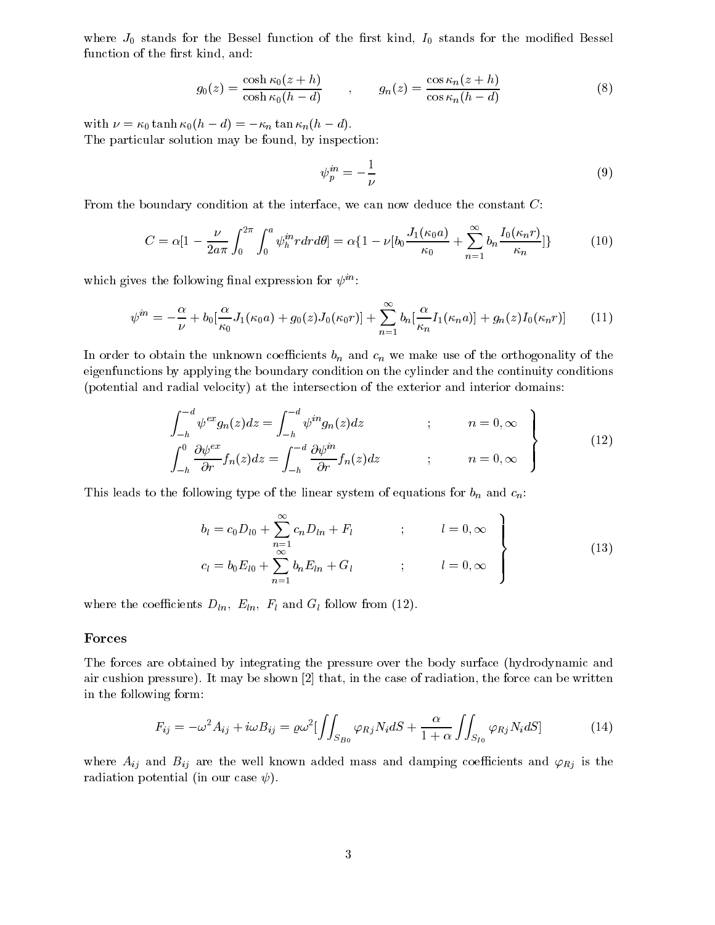where  $J_0$  stands for the Bessel function of the first kind,  $I_0$  stands for the modified Bessel function of the first kind, and:

$$
g_0(z) = \frac{\cosh \kappa_0(z+h)}{\cosh \kappa_0(h-d)} \qquad , \qquad g_n(z) = \frac{\cos \kappa_n(z+h)}{\cos \kappa_n(h-d)} \tag{8}
$$

with  $\nu = \kappa_0 \tanh \kappa_0(h - d) = -\kappa_n \tan \kappa_n(h - d).$ The particular solution may be found, by inspection:

$$
\psi_p^{in} = -\frac{1}{\nu} \tag{9}
$$

From the boundary condition at the interface, we can now deduce the constant C:

$$
C = \alpha \left[ 1 - \frac{\nu}{2a\pi} \int_0^{2\pi} \int_0^a \psi_h^{in} r dr d\theta \right] = \alpha \left\{ 1 - \nu \left[ b_0 \frac{J_1(\kappa_0 a)}{\kappa_0} + \sum_{n=1}^\infty b_n \frac{I_0(\kappa_n r)}{\kappa_n} \right] \right\} \tag{10}
$$

which gives the following final expression for  $\psi^{in}$ :

$$
\psi^{in} = -\frac{\alpha}{\nu} + b_0 \left[ \frac{\alpha}{\kappa_0} J_1(\kappa_0 a) + g_0(z) J_0(\kappa_0 r) \right] + \sum_{n=1}^{\infty} b_n \left[ \frac{\alpha}{\kappa_n} I_1(\kappa_n a) \right] + g_n(z) I_0(\kappa_n r) \tag{11}
$$

In order to obtain the unknown coefficients  $b_n$  and  $c_n$  we make use of the orthogonality of the eigenfunctions by applying the boundary condition on the cylinder and the continuity conditions (potential and radial velocity) at the intersection of the exterior and interior domains:

$$
\int_{-h}^{-d} \psi^{ex} g_n(z) dz = \int_{-h}^{-d} \psi^{in} g_n(z) dz \qquad ; \qquad n = 0, \infty
$$
\n
$$
\int_{-h}^{0} \frac{\partial \psi^{ex}}{\partial r} f_n(z) dz = \int_{-h}^{-d} \frac{\partial \psi^{in}}{\partial r} f_n(z) dz \qquad ; \qquad n = 0, \infty
$$
\n(12)

This leads to the following type of the linear system of equations for  $b_n$  and  $c_n$ :

$$
b_{l} = c_{0}D_{l0} + \sum_{n=1}^{\infty} c_{n}D_{ln} + F_{l} \qquad ; \qquad l = 0, \infty
$$
  

$$
c_{l} = b_{0}E_{l0} + \sum_{n=1}^{\infty} b_{n}E_{ln} + G_{l} \qquad ; \qquad l = 0, \infty
$$
 (13)

where the coefficients  $D_{ln}$ ,  $E_{ln}$ ,  $F_l$  and  $G_l$  follow from (12).

#### Forces

The forces are obtained by integrating the pressure over the body surface (hydrodynamic and air cushion pressure). It may be shown [2] that, in the case of radiation, the force can be written in the following form:

$$
F_{ij} = -\omega^2 A_{ij} + i\omega B_{ij} = \varrho \omega^2 \left[ \int \int_{S_{B0}} \varphi_{Rj} N_i dS + \frac{\alpha}{1+\alpha} \int \int_{S_{I0}} \varphi_{Rj} N_i dS \right]
$$
(14)

where  $A_{ij}$  and  $B_{ij}$  are the well known added mass and damping coefficients and  $\varphi_{Rj}$  is the radiation potential (in our case  $\psi$ ).